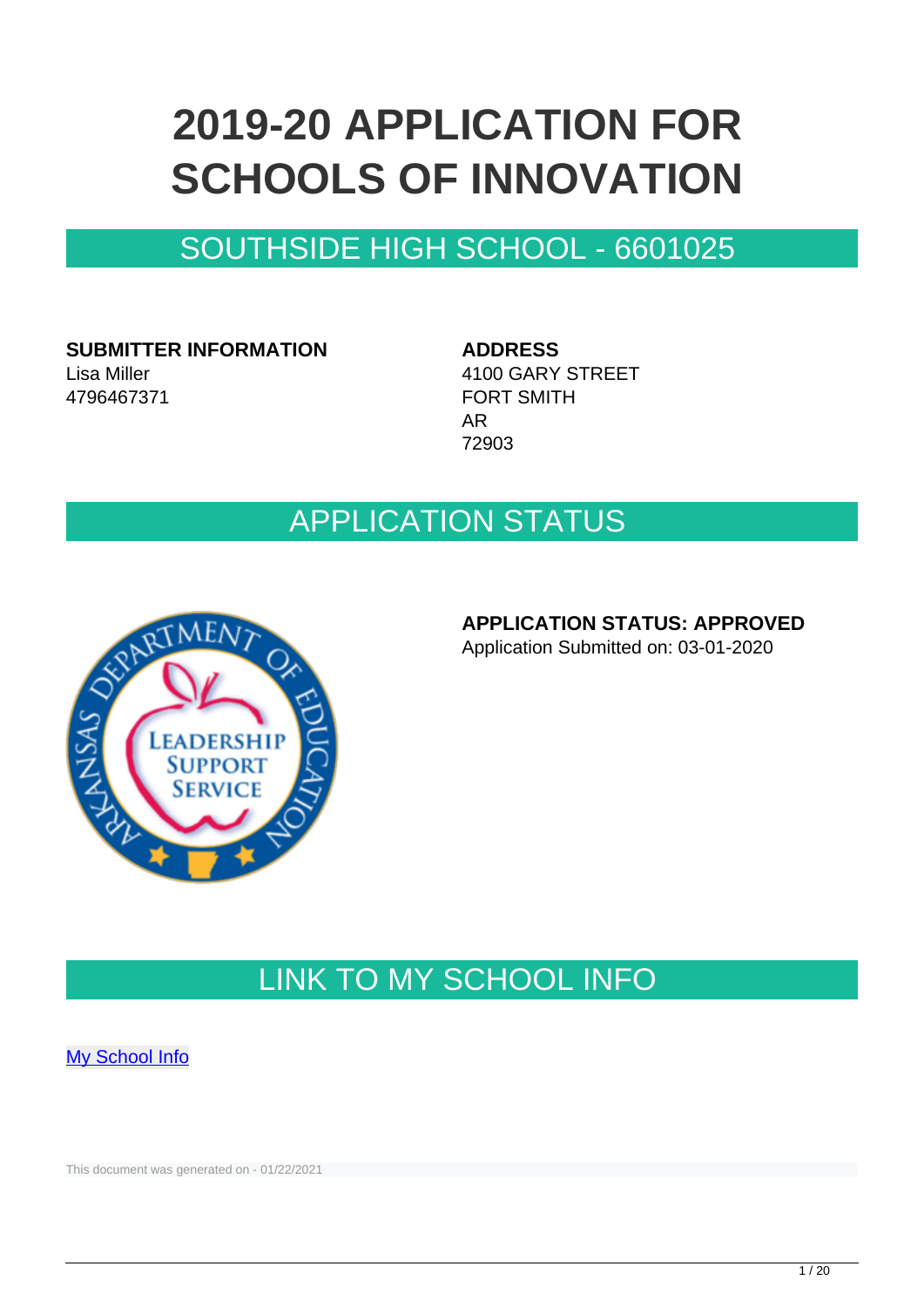# **2019-20 APPLICATION FOR SCHOOLS OF INNOVATION**

### SOUTHSIDE HIGH SCHOOL - 6601025

**SUBMITTER INFORMATION** Lisa Miller 4796467371

**ADDRESS** 4100 GARY STREET FORT SMITH AR 72903

### APPLICATION STATUS



#### **APPLICATION STATUS: APPROVED**

Application Submitted on: 03-01-2020

### LINK TO MY SCHOOL INFO

**[My School Info](https://myschoolinfo.arkansas.gov/Schools/Search?OperationContext=None&SearchFlag=School&Query=6601025)** 

This document was generated on - 01/22/2021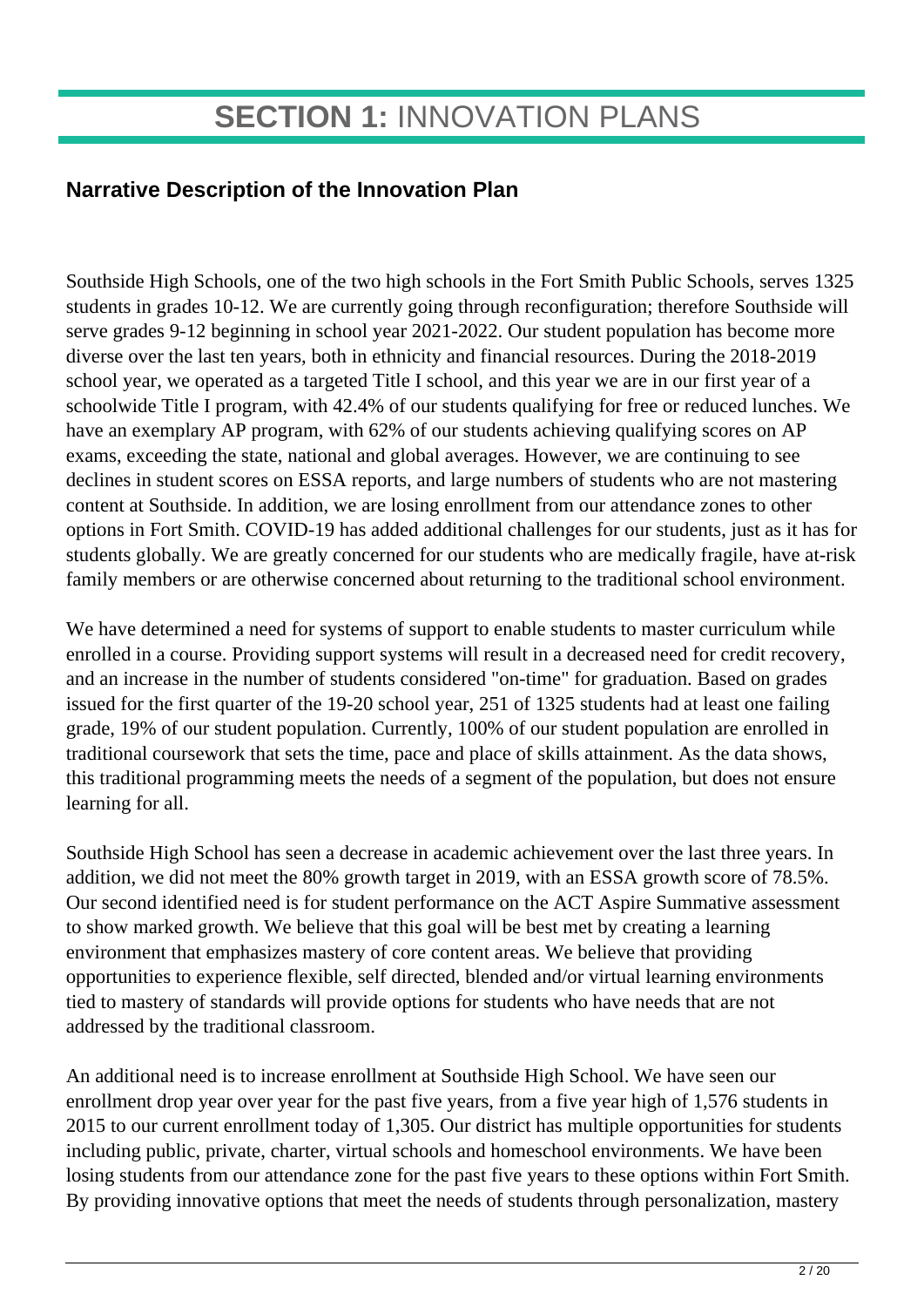### **Narrative Description of the Innovation Plan**

Southside High Schools, one of the two high schools in the Fort Smith Public Schools, serves 1325 students in grades 10-12. We are currently going through reconfiguration; therefore Southside will serve grades 9-12 beginning in school year 2021-2022. Our student population has become more diverse over the last ten years, both in ethnicity and financial resources. During the 2018-2019 school year, we operated as a targeted Title I school, and this year we are in our first year of a schoolwide Title I program, with 42.4% of our students qualifying for free or reduced lunches. We have an exemplary AP program, with 62% of our students achieving qualifying scores on AP exams, exceeding the state, national and global averages. However, we are continuing to see declines in student scores on ESSA reports, and large numbers of students who are not mastering content at Southside. In addition, we are losing enrollment from our attendance zones to other options in Fort Smith. COVID-19 has added additional challenges for our students, just as it has for students globally. We are greatly concerned for our students who are medically fragile, have at-risk family members or are otherwise concerned about returning to the traditional school environment.

We have determined a need for systems of support to enable students to master curriculum while enrolled in a course. Providing support systems will result in a decreased need for credit recovery, and an increase in the number of students considered "on-time" for graduation. Based on grades issued for the first quarter of the 19-20 school year, 251 of 1325 students had at least one failing grade, 19% of our student population. Currently, 100% of our student population are enrolled in traditional coursework that sets the time, pace and place of skills attainment. As the data shows, this traditional programming meets the needs of a segment of the population, but does not ensure learning for all.

Southside High School has seen a decrease in academic achievement over the last three years. In addition, we did not meet the 80% growth target in 2019, with an ESSA growth score of 78.5%. Our second identified need is for student performance on the ACT Aspire Summative assessment to show marked growth. We believe that this goal will be best met by creating a learning environment that emphasizes mastery of core content areas. We believe that providing opportunities to experience flexible, self directed, blended and/or virtual learning environments tied to mastery of standards will provide options for students who have needs that are not addressed by the traditional classroom.

An additional need is to increase enrollment at Southside High School. We have seen our enrollment drop year over year for the past five years, from a five year high of 1,576 students in 2015 to our current enrollment today of 1,305. Our district has multiple opportunities for students including public, private, charter, virtual schools and homeschool environments. We have been losing students from our attendance zone for the past five years to these options within Fort Smith. By providing innovative options that meet the needs of students through personalization, mastery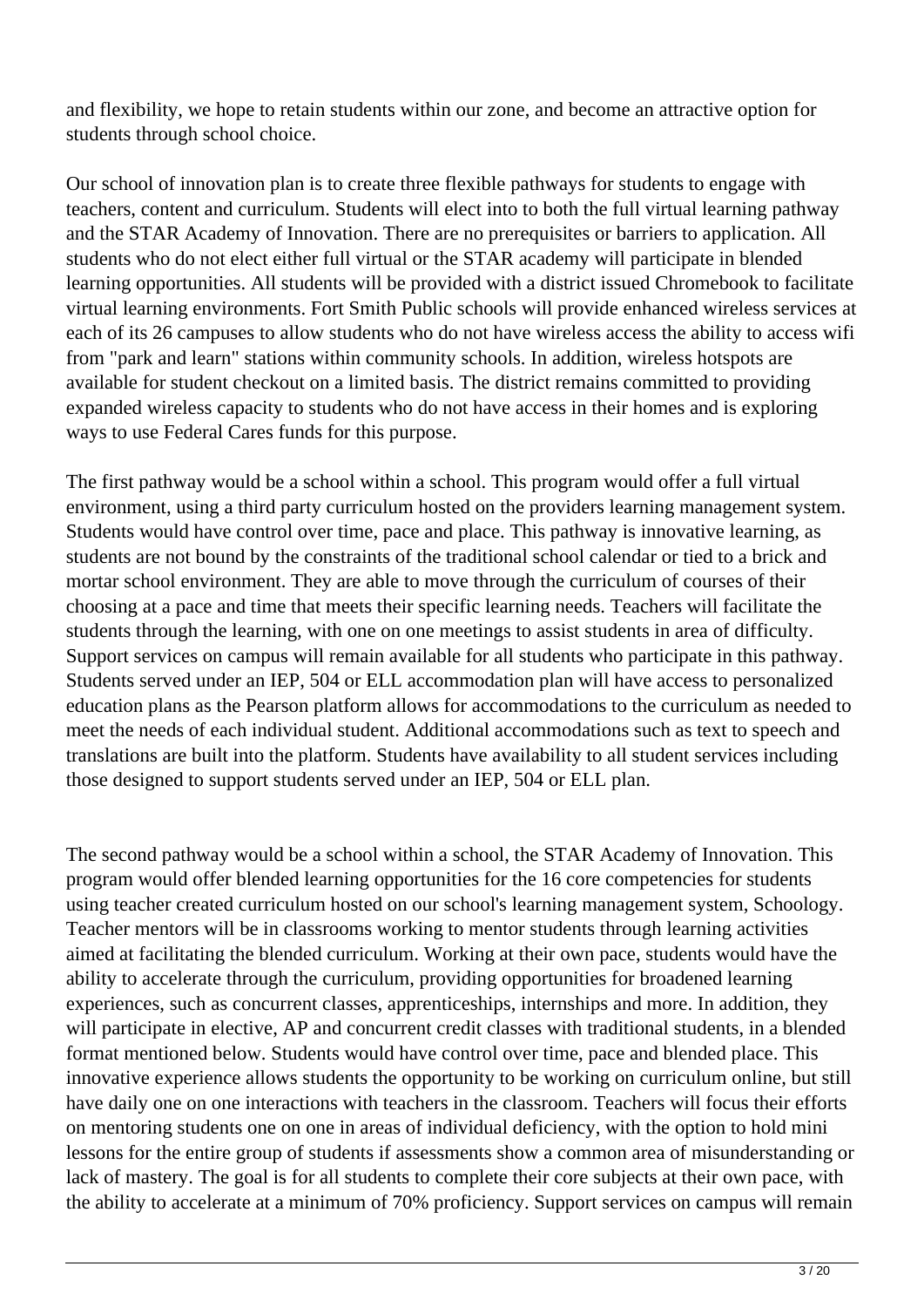and flexibility, we hope to retain students within our zone, and become an attractive option for students through school choice.

Our school of innovation plan is to create three flexible pathways for students to engage with teachers, content and curriculum. Students will elect into to both the full virtual learning pathway and the STAR Academy of Innovation. There are no prerequisites or barriers to application. All students who do not elect either full virtual or the STAR academy will participate in blended learning opportunities. All students will be provided with a district issued Chromebook to facilitate virtual learning environments. Fort Smith Public schools will provide enhanced wireless services at each of its 26 campuses to allow students who do not have wireless access the ability to access wifi from "park and learn" stations within community schools. In addition, wireless hotspots are available for student checkout on a limited basis. The district remains committed to providing expanded wireless capacity to students who do not have access in their homes and is exploring ways to use Federal Cares funds for this purpose.

The first pathway would be a school within a school. This program would offer a full virtual environment, using a third party curriculum hosted on the providers learning management system. Students would have control over time, pace and place. This pathway is innovative learning, as students are not bound by the constraints of the traditional school calendar or tied to a brick and mortar school environment. They are able to move through the curriculum of courses of their choosing at a pace and time that meets their specific learning needs. Teachers will facilitate the students through the learning, with one on one meetings to assist students in area of difficulty. Support services on campus will remain available for all students who participate in this pathway. Students served under an IEP, 504 or ELL accommodation plan will have access to personalized education plans as the Pearson platform allows for accommodations to the curriculum as needed to meet the needs of each individual student. Additional accommodations such as text to speech and translations are built into the platform. Students have availability to all student services including those designed to support students served under an IEP, 504 or ELL plan.

The second pathway would be a school within a school, the STAR Academy of Innovation. This program would offer blended learning opportunities for the 16 core competencies for students using teacher created curriculum hosted on our school's learning management system, Schoology. Teacher mentors will be in classrooms working to mentor students through learning activities aimed at facilitating the blended curriculum. Working at their own pace, students would have the ability to accelerate through the curriculum, providing opportunities for broadened learning experiences, such as concurrent classes, apprenticeships, internships and more. In addition, they will participate in elective, AP and concurrent credit classes with traditional students, in a blended format mentioned below. Students would have control over time, pace and blended place. This innovative experience allows students the opportunity to be working on curriculum online, but still have daily one on one interactions with teachers in the classroom. Teachers will focus their efforts on mentoring students one on one in areas of individual deficiency, with the option to hold mini lessons for the entire group of students if assessments show a common area of misunderstanding or lack of mastery. The goal is for all students to complete their core subjects at their own pace, with the ability to accelerate at a minimum of 70% proficiency. Support services on campus will remain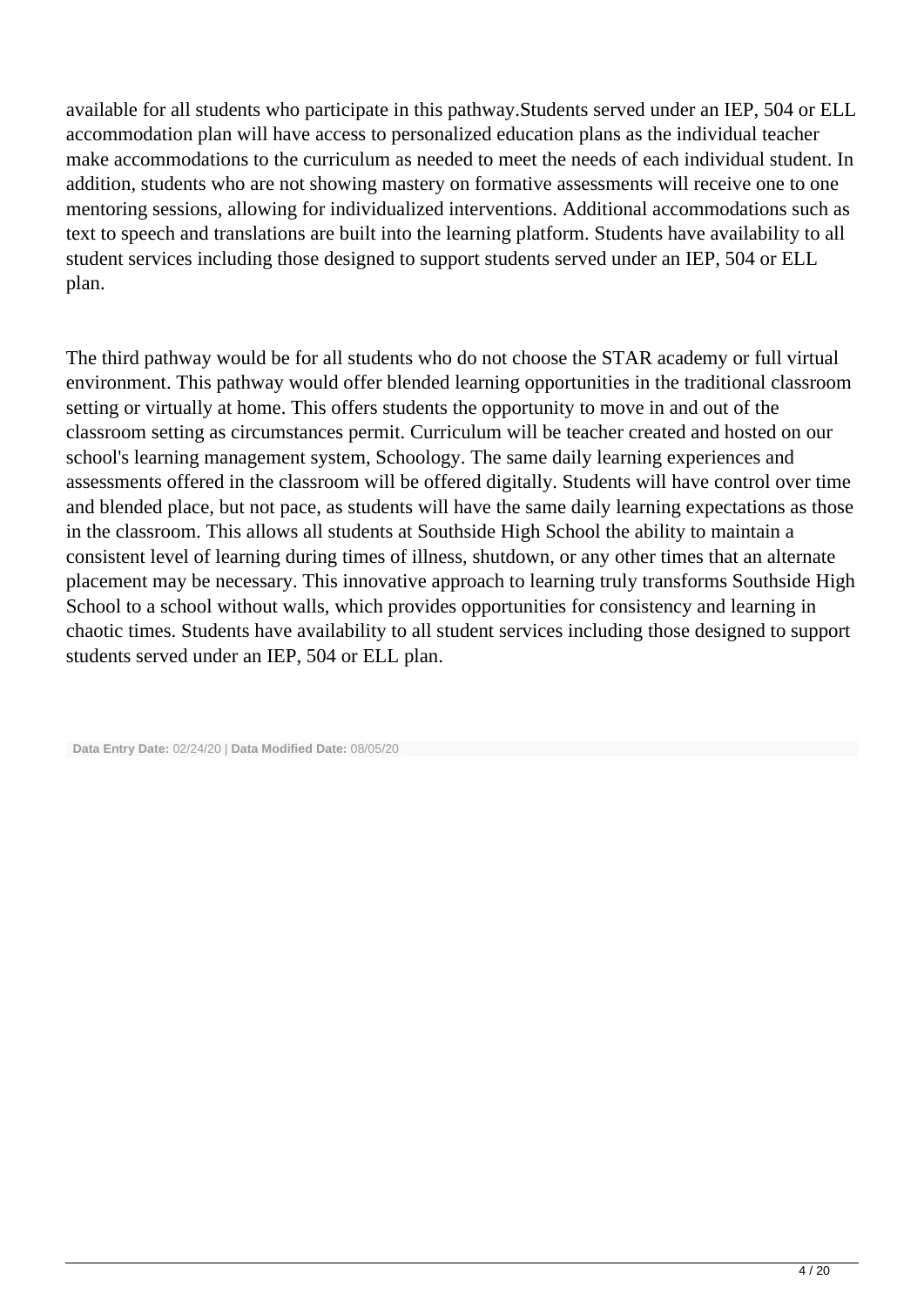available for all students who participate in this pathway.Students served under an IEP, 504 or ELL accommodation plan will have access to personalized education plans as the individual teacher make accommodations to the curriculum as needed to meet the needs of each individual student. In addition, students who are not showing mastery on formative assessments will receive one to one mentoring sessions, allowing for individualized interventions. Additional accommodations such as text to speech and translations are built into the learning platform. Students have availability to all student services including those designed to support students served under an IEP, 504 or ELL plan.

The third pathway would be for all students who do not choose the STAR academy or full virtual environment. This pathway would offer blended learning opportunities in the traditional classroom setting or virtually at home. This offers students the opportunity to move in and out of the classroom setting as circumstances permit. Curriculum will be teacher created and hosted on our school's learning management system, Schoology. The same daily learning experiences and assessments offered in the classroom will be offered digitally. Students will have control over time and blended place, but not pace, as students will have the same daily learning expectations as those in the classroom. This allows all students at Southside High School the ability to maintain a consistent level of learning during times of illness, shutdown, or any other times that an alternate placement may be necessary. This innovative approach to learning truly transforms Southside High School to a school without walls, which provides opportunities for consistency and learning in chaotic times. Students have availability to all student services including those designed to support students served under an IEP, 504 or ELL plan.

**Data Entry Date:** 02/24/20 | **Data Modified Date:** 08/05/20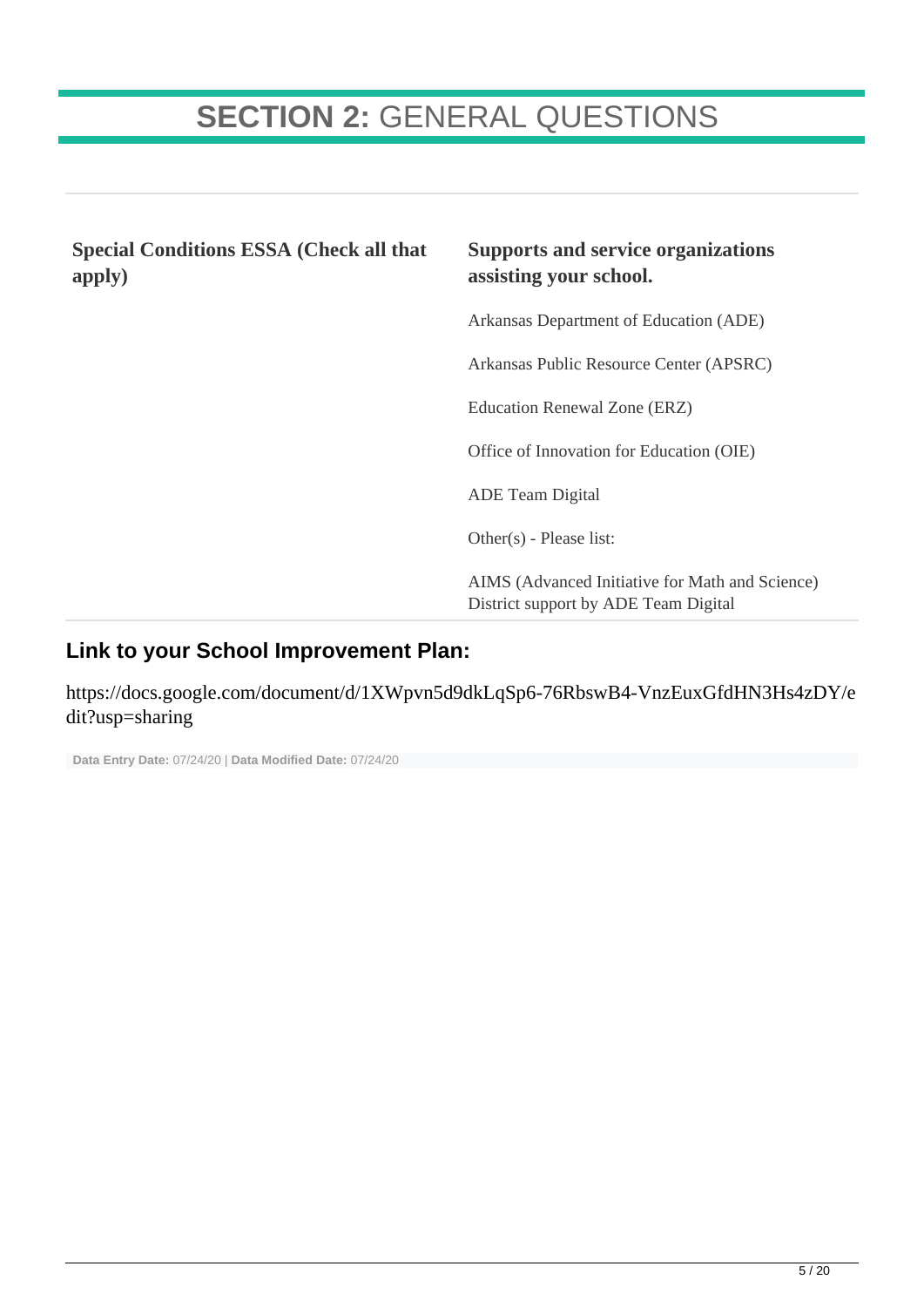## **SECTION 2:** GENERAL QUESTIONS

**Special Conditions ESSA (Check all that apply)**

#### **Supports and service organizations assisting your school.**

Arkansas Department of Education (ADE)

Arkansas Public Resource Center (APSRC)

Education Renewal Zone (ERZ)

Office of Innovation for Education (OIE)

ADE Team Digital

Other(s) - Please list:

AIMS (Advanced Initiative for Math and Science) District support by ADE Team Digital

#### **Link to your School Improvement Plan:**

https://docs.google.com/document/d/1XWpvn5d9dkLqSp6-76RbswB4-VnzEuxGfdHN3Hs4zDY/e dit?usp=sharing

```
 Data Entry Date: 07/24/20 | Data Modified Date: 07/24/20
```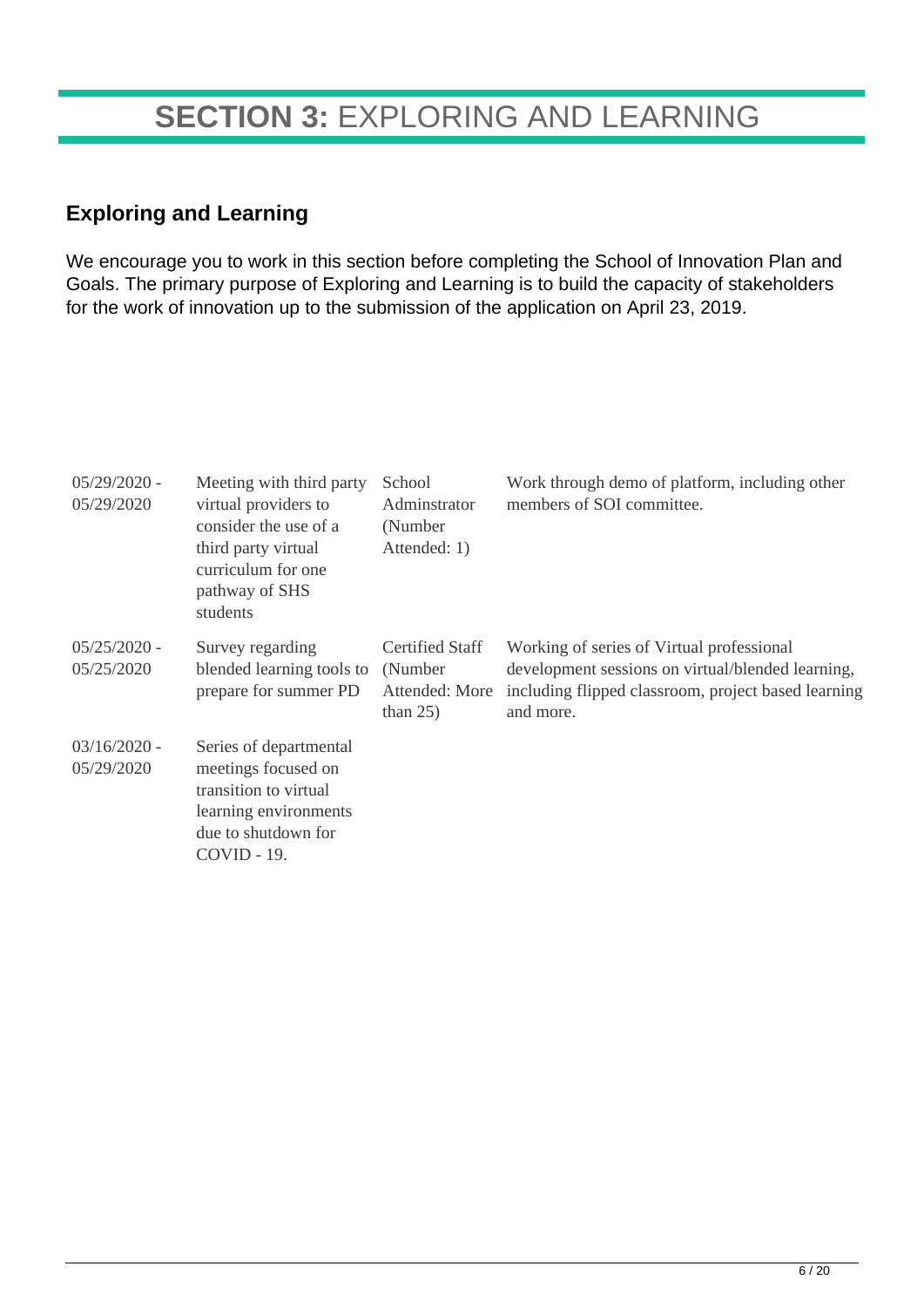## **SECTION 3:** EXPLORING AND LEARNING

#### **Exploring and Learning**

We encourage you to work in this section before completing the School of Innovation Plan and Goals. The primary purpose of Exploring and Learning is to build the capacity of stakeholders for the work of innovation up to the submission of the application on April 23, 2019.

| $05/29/2020$ -<br>05/29/2020 | Meeting with third party<br>virtual providers to<br>consider the use of a<br>third party virtual<br>curriculum for one<br>pathway of SHS<br>students | School<br>Adminstrator<br>(Number)<br>Attended: 1)                  | Work through demo of platform, including other<br>members of SOI committee.                                                                                        |
|------------------------------|------------------------------------------------------------------------------------------------------------------------------------------------------|---------------------------------------------------------------------|--------------------------------------------------------------------------------------------------------------------------------------------------------------------|
| $05/25/2020 -$<br>05/25/2020 | Survey regarding<br>blended learning tools to<br>prepare for summer PD                                                                               | <b>Certified Staff</b><br>(Number)<br>Attended: More<br>than $25$ ) | Working of series of Virtual professional<br>development sessions on virtual/blended learning,<br>including flipped classroom, project based learning<br>and more. |
| $03/16/2020$ -<br>05/29/2020 | Series of departmental<br>meetings focused on<br>transition to virtual<br>learning environments<br>due to shutdown for<br>$COVID - 19.$              |                                                                     |                                                                                                                                                                    |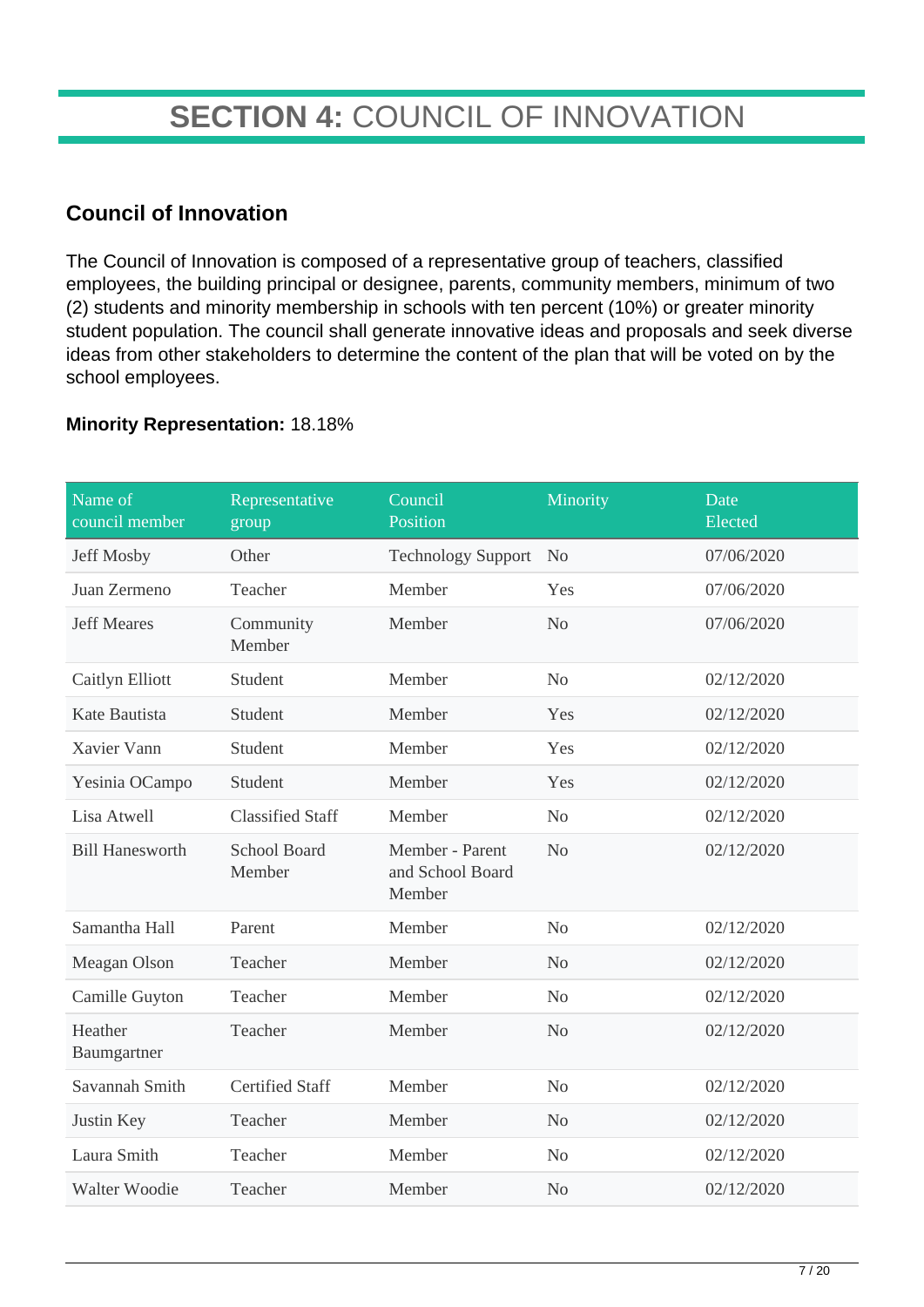## **SECTION 4:** COUNCIL OF INNOVATION

### **Council of Innovation**

The Council of Innovation is composed of a representative group of teachers, classified employees, the building principal or designee, parents, community members, minimum of two (2) students and minority membership in schools with ten percent (10%) or greater minority student population. The council shall generate innovative ideas and proposals and seek diverse ideas from other stakeholders to determine the content of the plan that will be voted on by the school employees.

#### **Minority Representation:** 18.18%

| Name of<br>council member | Representative<br>group       | Council<br>Position                           | Minority       | Date<br>Elected |
|---------------------------|-------------------------------|-----------------------------------------------|----------------|-----------------|
| Jeff Mosby                | Other                         | <b>Technology Support</b>                     | N <sub>o</sub> | 07/06/2020      |
| Juan Zermeno              | Teacher                       | Member                                        | Yes            | 07/06/2020      |
| <b>Jeff Meares</b>        | Community<br>Member           | Member                                        | N <sub>o</sub> | 07/06/2020      |
| Caitlyn Elliott           | Student                       | Member                                        | N <sub>o</sub> | 02/12/2020      |
| Kate Bautista             | Student                       | Member                                        | Yes            | 02/12/2020      |
| Xavier Vann               | Student                       | Member                                        | Yes            | 02/12/2020      |
| Yesinia OCampo            | Student                       | Member                                        | Yes            | 02/12/2020      |
| Lisa Atwell               | <b>Classified Staff</b>       | Member                                        | N <sub>o</sub> | 02/12/2020      |
| <b>Bill Hanesworth</b>    | <b>School Board</b><br>Member | Member - Parent<br>and School Board<br>Member | N <sub>o</sub> | 02/12/2020      |
| Samantha Hall             | Parent                        | Member                                        | N <sub>o</sub> | 02/12/2020      |
| Meagan Olson              | Teacher                       | Member                                        | N <sub>o</sub> | 02/12/2020      |
| Camille Guyton            | Teacher                       | Member                                        | N <sub>o</sub> | 02/12/2020      |
| Heather<br>Baumgartner    | Teacher                       | Member                                        | N <sub>o</sub> | 02/12/2020      |
| Savannah Smith            | <b>Certified Staff</b>        | Member                                        | N <sub>o</sub> | 02/12/2020      |
| Justin Key                | Teacher                       | Member                                        | N <sub>o</sub> | 02/12/2020      |
| Laura Smith               | Teacher                       | Member                                        | N <sub>o</sub> | 02/12/2020      |
| Walter Woodie             | Teacher                       | Member                                        | N <sub>o</sub> | 02/12/2020      |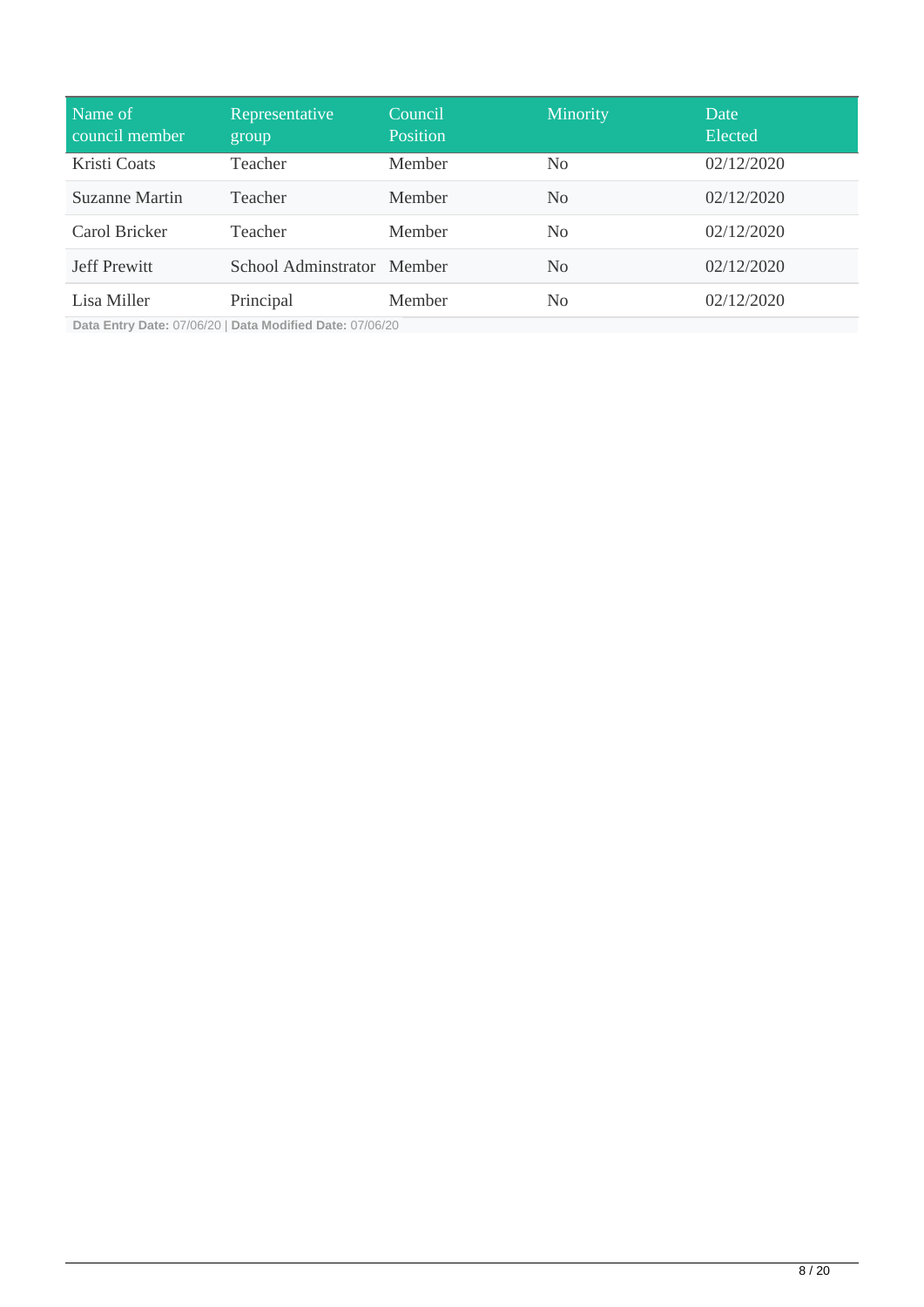| Name of<br>council member | Representative<br>group    | Council<br><b>Position</b> | Minority       | Date<br>Elected |
|---------------------------|----------------------------|----------------------------|----------------|-----------------|
| Kristi Coats              | Teacher                    | Member                     | N <sub>0</sub> | 02/12/2020      |
| Suzanne Martin            | Teacher                    | Member                     | N <sub>0</sub> | 02/12/2020      |
| Carol Bricker             | Teacher                    | <b>Member</b>              | N <sub>0</sub> | 02/12/2020      |
| <b>Jeff Prewitt</b>       | School Adminstrator Member |                            | N <sub>0</sub> | 02/12/2020      |
| Lisa Miller               | Principal                  | Member                     | N <sub>0</sub> | 02/12/2020      |

**Data Entry Date:** 07/06/20 | **Data Modified Date:** 07/06/20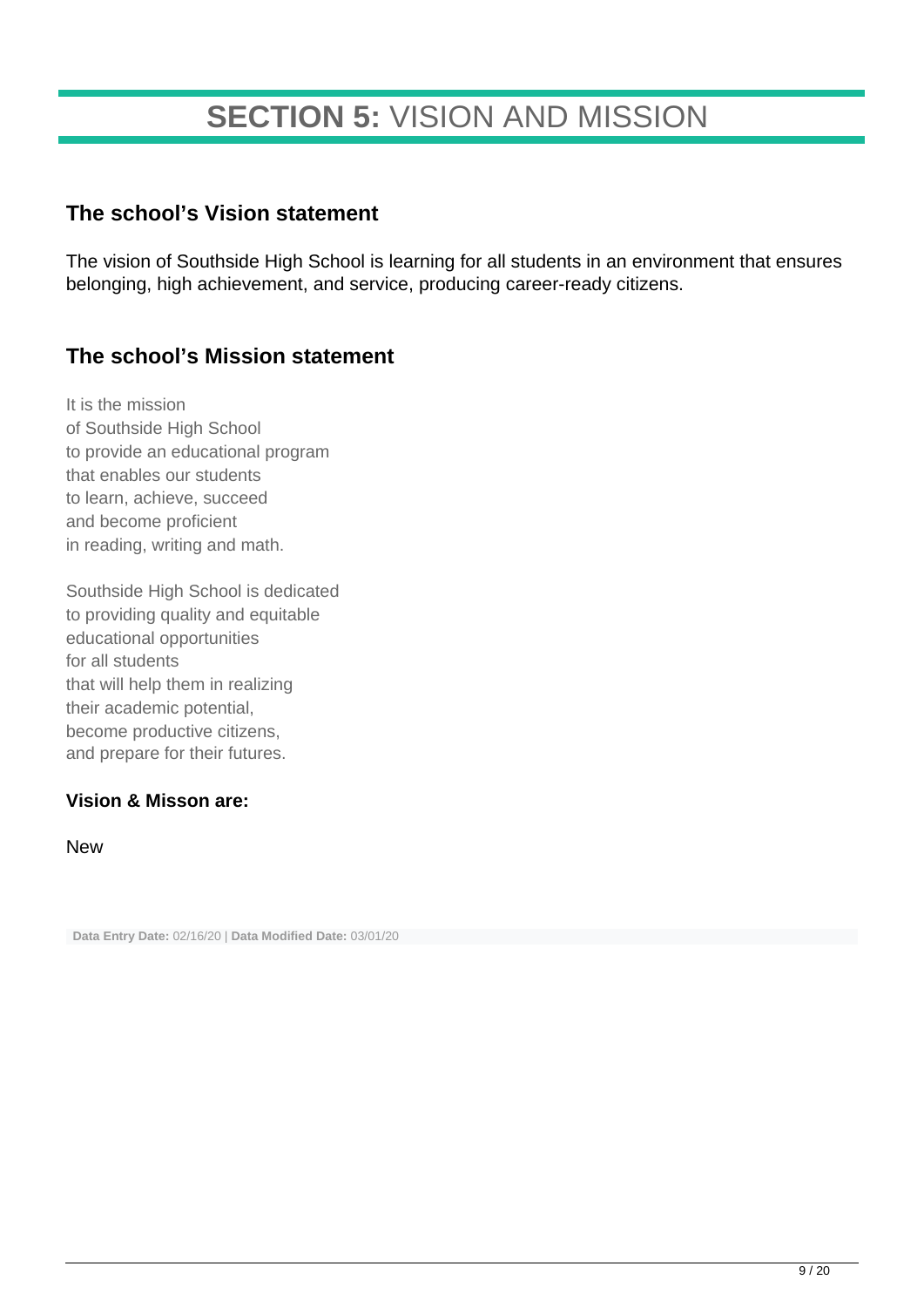## **SECTION 5:** VISION AND MISSION

#### **The school's Vision statement**

The vision of Southside High School is learning for all students in an environment that ensures belonging, high achievement, and service, producing career-ready citizens.

### **The school's Mission statement**

It is the mission of Southside High School to provide an educational program that enables our students to learn, achieve, succeed and become proficient in reading, writing and math.

Southside High School is dedicated to providing quality and equitable educational opportunities for all students that will help them in realizing their academic potential, become productive citizens, and prepare for their futures.

#### **Vision & Misson are:**

New

**Data Entry Date:** 02/16/20 | **Data Modified Date:** 03/01/20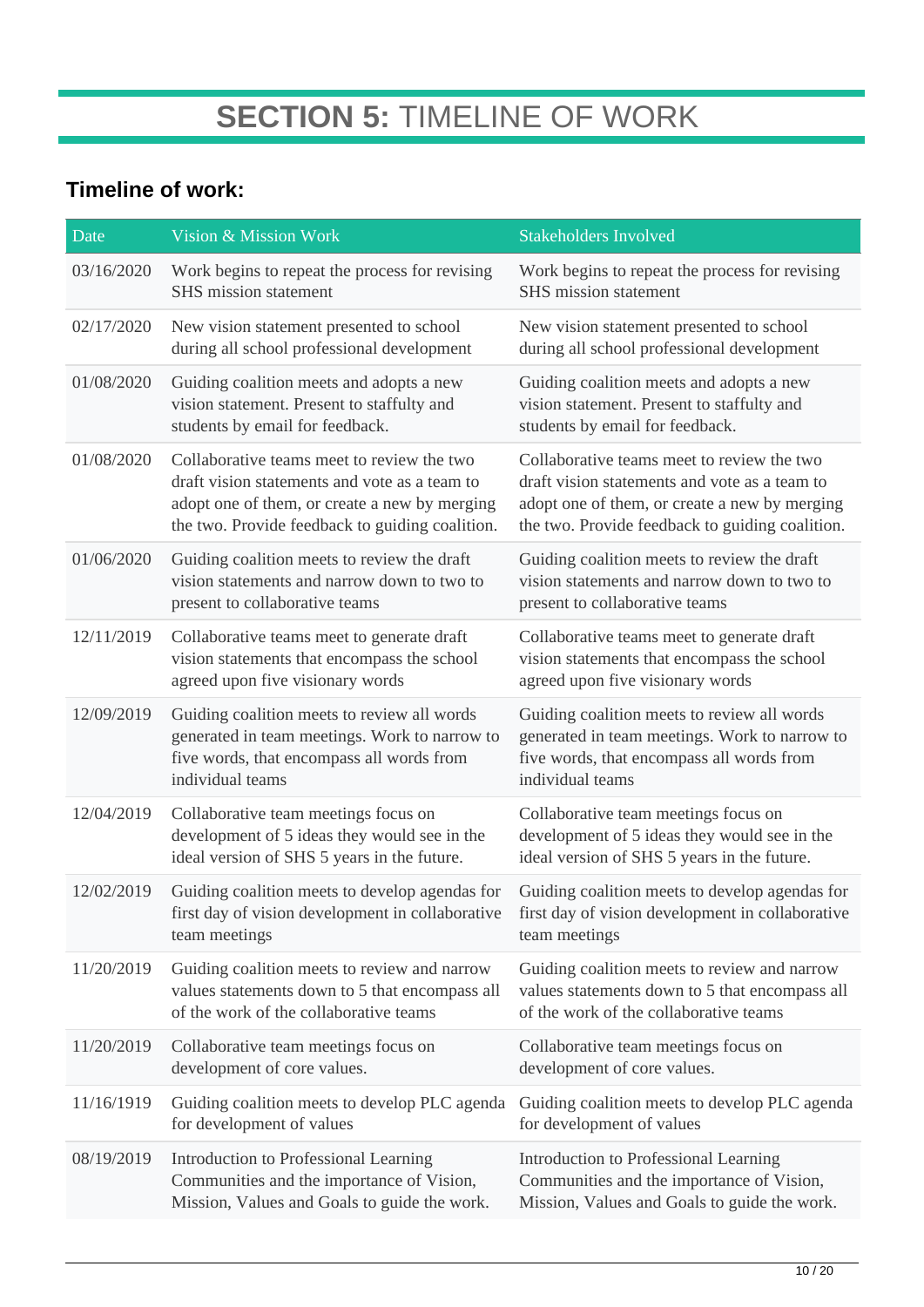## **SECTION 5:** TIMELINE OF WORK

### **Timeline of work:**

| Date       | Vision & Mission Work                                                                                                                                                                           | <b>Stakeholders Involved</b>                                                                                                                                                                    |
|------------|-------------------------------------------------------------------------------------------------------------------------------------------------------------------------------------------------|-------------------------------------------------------------------------------------------------------------------------------------------------------------------------------------------------|
| 03/16/2020 | Work begins to repeat the process for revising<br>SHS mission statement                                                                                                                         | Work begins to repeat the process for revising<br>SHS mission statement                                                                                                                         |
| 02/17/2020 | New vision statement presented to school<br>during all school professional development                                                                                                          | New vision statement presented to school<br>during all school professional development                                                                                                          |
| 01/08/2020 | Guiding coalition meets and adopts a new<br>vision statement. Present to staffulty and<br>students by email for feedback.                                                                       | Guiding coalition meets and adopts a new<br>vision statement. Present to staffulty and<br>students by email for feedback.                                                                       |
| 01/08/2020 | Collaborative teams meet to review the two<br>draft vision statements and vote as a team to<br>adopt one of them, or create a new by merging<br>the two. Provide feedback to guiding coalition. | Collaborative teams meet to review the two<br>draft vision statements and vote as a team to<br>adopt one of them, or create a new by merging<br>the two. Provide feedback to guiding coalition. |
| 01/06/2020 | Guiding coalition meets to review the draft<br>vision statements and narrow down to two to<br>present to collaborative teams                                                                    | Guiding coalition meets to review the draft<br>vision statements and narrow down to two to<br>present to collaborative teams                                                                    |
| 12/11/2019 | Collaborative teams meet to generate draft<br>vision statements that encompass the school<br>agreed upon five visionary words                                                                   | Collaborative teams meet to generate draft<br>vision statements that encompass the school<br>agreed upon five visionary words                                                                   |
| 12/09/2019 | Guiding coalition meets to review all words<br>generated in team meetings. Work to narrow to<br>five words, that encompass all words from<br>individual teams                                   | Guiding coalition meets to review all words<br>generated in team meetings. Work to narrow to<br>five words, that encompass all words from<br>individual teams                                   |
| 12/04/2019 | Collaborative team meetings focus on<br>development of 5 ideas they would see in the<br>ideal version of SHS 5 years in the future.                                                             | Collaborative team meetings focus on<br>development of 5 ideas they would see in the<br>ideal version of SHS 5 years in the future.                                                             |
| 12/02/2019 | Guiding coalition meets to develop agendas for<br>first day of vision development in collaborative<br>team meetings                                                                             | Guiding coalition meets to develop agendas for<br>first day of vision development in collaborative<br>team meetings                                                                             |
| 11/20/2019 | Guiding coalition meets to review and narrow<br>values statements down to 5 that encompass all<br>of the work of the collaborative teams                                                        | Guiding coalition meets to review and narrow<br>values statements down to 5 that encompass all<br>of the work of the collaborative teams                                                        |
| 11/20/2019 | Collaborative team meetings focus on<br>development of core values.                                                                                                                             | Collaborative team meetings focus on<br>development of core values.                                                                                                                             |
| 11/16/1919 | Guiding coalition meets to develop PLC agenda<br>for development of values                                                                                                                      | Guiding coalition meets to develop PLC agenda<br>for development of values                                                                                                                      |
| 08/19/2019 | Introduction to Professional Learning<br>Communities and the importance of Vision,<br>Mission, Values and Goals to guide the work.                                                              | Introduction to Professional Learning<br>Communities and the importance of Vision,<br>Mission, Values and Goals to guide the work.                                                              |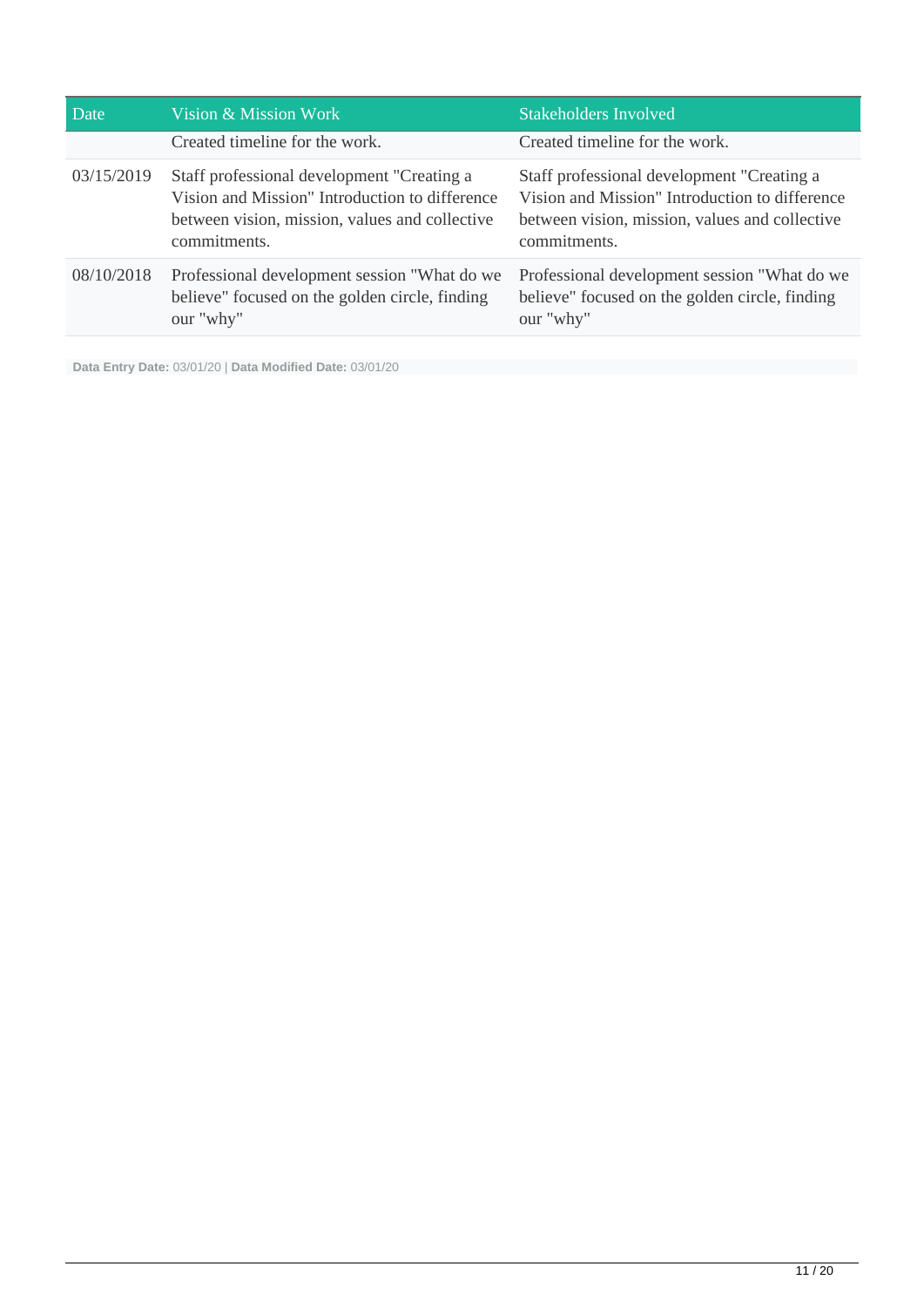| Date       | Vision & Mission Work                                                                                                                                          | <b>Stakeholders Involved</b>                                                                                                                                   |
|------------|----------------------------------------------------------------------------------------------------------------------------------------------------------------|----------------------------------------------------------------------------------------------------------------------------------------------------------------|
|            | Created timeline for the work.                                                                                                                                 | Created timeline for the work.                                                                                                                                 |
| 03/15/2019 | Staff professional development "Creating a<br>Vision and Mission" Introduction to difference<br>between vision, mission, values and collective<br>commitments. | Staff professional development "Creating a<br>Vision and Mission" Introduction to difference<br>between vision, mission, values and collective<br>commitments. |
| 08/10/2018 | Professional development session "What do we<br>believe" focused on the golden circle, finding<br>our "why"                                                    | Professional development session "What do we<br>believe" focused on the golden circle, finding<br>our "why"                                                    |

**Data Entry Date:** 03/01/20 | **Data Modified Date:** 03/01/20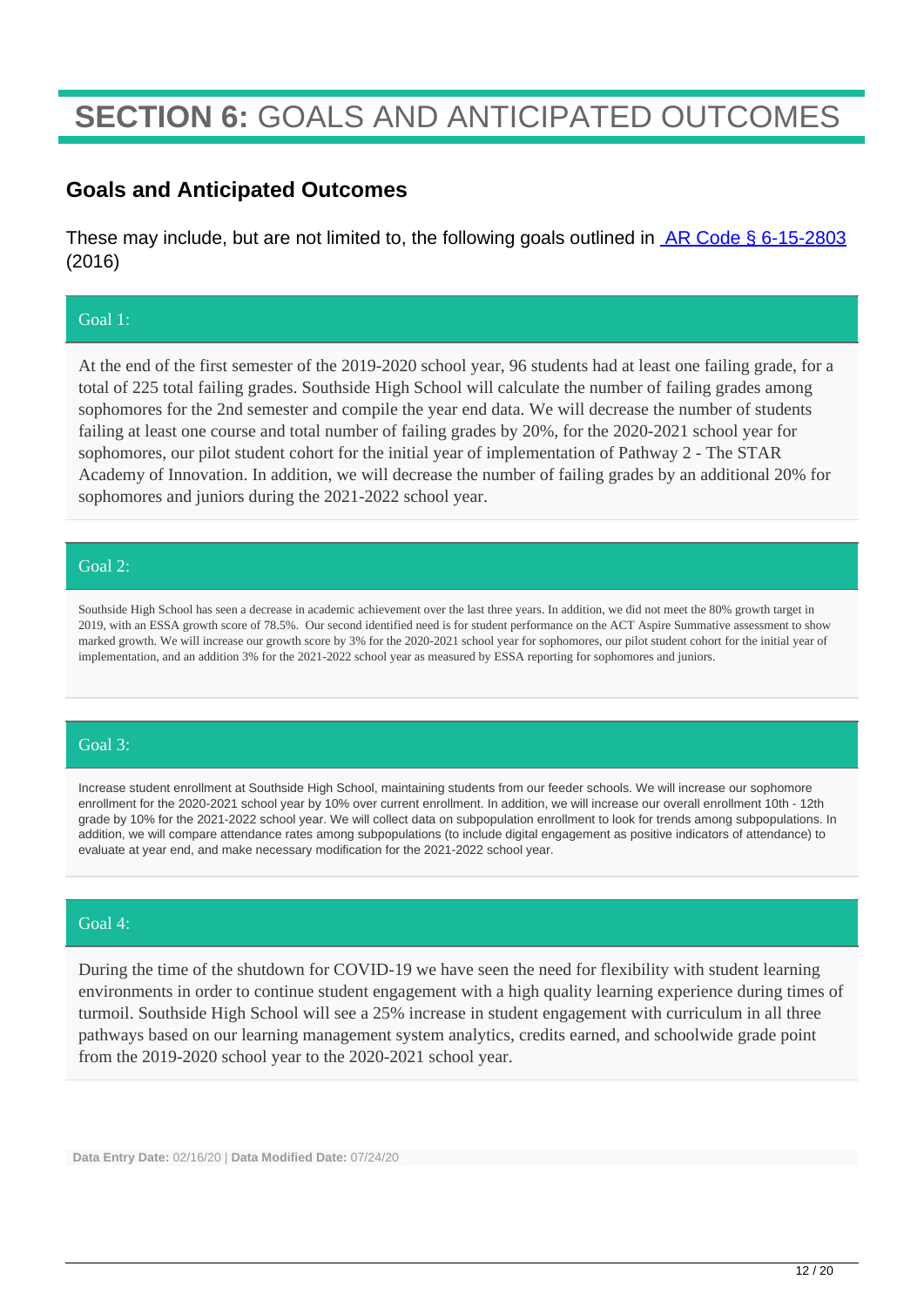## **SECTION 6:** GOALS AND ANTICIPATED OUTCOMES

#### **Goals and Anticipated Outcomes**

These may include, but are not limited to, the following goals outlined in **AR Code § 6-15-2803** (2016)

#### Goal 1:

At the end of the first semester of the 2019-2020 school year, 96 students had at least one failing grade, for a total of 225 total failing grades. Southside High School will calculate the number of failing grades among sophomores for the 2nd semester and compile the year end data. We will decrease the number of students failing at least one course and total number of failing grades by 20%, for the 2020-2021 school year for sophomores, our pilot student cohort for the initial year of implementation of Pathway 2 - The STAR Academy of Innovation. In addition, we will decrease the number of failing grades by an additional 20% for sophomores and juniors during the 2021-2022 school year.

#### Goal 2:

Southside High School has seen a decrease in academic achievement over the last three years. In addition, we did not meet the 80% growth target in 2019, with an ESSA growth score of 78.5%. Our second identified need is for student performance on the ACT Aspire Summative assessment to show marked growth. We will increase our growth score by 3% for the 2020-2021 school year for sophomores, our pilot student cohort for the initial year of implementation, and an addition 3% for the 2021-2022 school year as measured by ESSA reporting for sophomores and juniors.

#### Goal 3:

Increase student enrollment at Southside High School, maintaining students from our feeder schools. We will increase our sophomore enrollment for the 2020-2021 school year by 10% over current enrollment. In addition, we will increase our overall enrollment 10th - 12th grade by 10% for the 2021-2022 school year. We will collect data on subpopulation enrollment to look for trends among subpopulations. In addition, we will compare attendance rates among subpopulations (to include digital engagement as positive indicators of attendance) to evaluate at year end, and make necessary modification for the 2021-2022 school year.

#### Goal 4:

During the time of the shutdown for COVID-19 we have seen the need for flexibility with student learning environments in order to continue student engagement with a high quality learning experience during times of turmoil. Southside High School will see a 25% increase in student engagement with curriculum in all three pathways based on our learning management system analytics, credits earned, and schoolwide grade point from the 2019-2020 school year to the 2020-2021 school year.

**Data Entry Date:** 02/16/20 | **Data Modified Date:** 07/24/20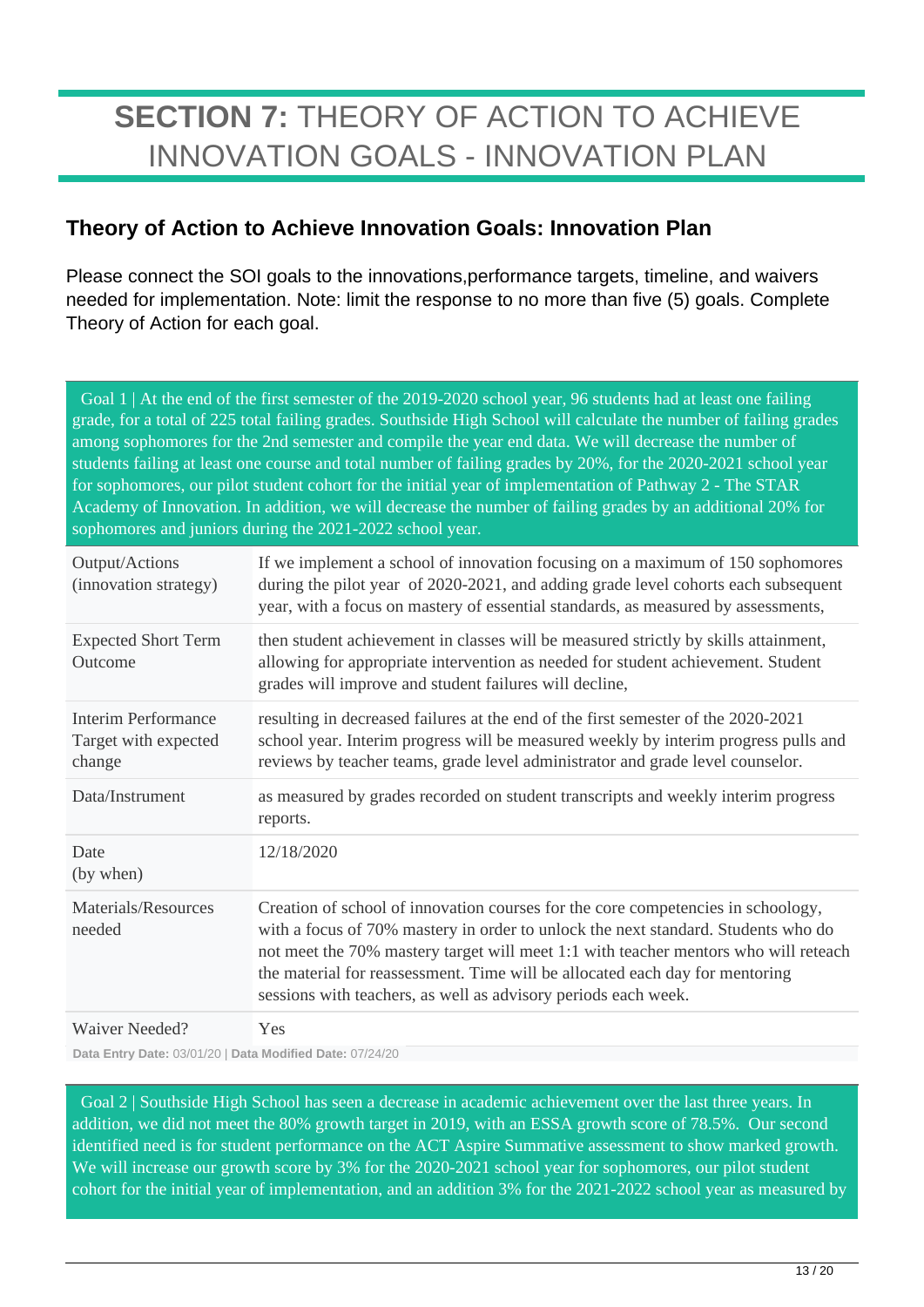## **SECTION 7:** THEORY OF ACTION TO ACHIEVE INNOVATION GOALS - INNOVATION PLAN

### **Theory of Action to Achieve Innovation Goals: Innovation Plan**

Please connect the SOI goals to the innovations,performance targets, timeline, and waivers needed for implementation. Note: limit the response to no more than five (5) goals. Complete Theory of Action for each goal.

 Goal 1 | At the end of the first semester of the 2019-2020 school year, 96 students had at least one failing grade, for a total of 225 total failing grades. Southside High School will calculate the number of failing grades among sophomores for the 2nd semester and compile the year end data. We will decrease the number of students failing at least one course and total number of failing grades by 20%, for the 2020-2021 school year for sophomores, our pilot student cohort for the initial year of implementation of Pathway 2 - The STAR Academy of Innovation. In addition, we will decrease the number of failing grades by an additional 20% for sophomores and juniors during the 2021-2022 school year.

| Output/Actions<br>(innovation strategy)               | If we implement a school of innovation focusing on a maximum of 150 sophomores<br>during the pilot year of 2020-2021, and adding grade level cohorts each subsequent<br>year, with a focus on mastery of essential standards, as measured by assessments,                                                                                                                                                      |
|-------------------------------------------------------|----------------------------------------------------------------------------------------------------------------------------------------------------------------------------------------------------------------------------------------------------------------------------------------------------------------------------------------------------------------------------------------------------------------|
| <b>Expected Short Term</b><br>Outcome                 | then student achievement in classes will be measured strictly by skills attainment,<br>allowing for appropriate intervention as needed for student achievement. Student<br>grades will improve and student failures will decline,                                                                                                                                                                              |
| Interim Performance<br>Target with expected<br>change | resulting in decreased failures at the end of the first semester of the 2020-2021<br>school year. Interim progress will be measured weekly by interim progress pulls and<br>reviews by teacher teams, grade level administrator and grade level counselor.                                                                                                                                                     |
| Data/Instrument                                       | as measured by grades recorded on student transcripts and weekly interim progress<br>reports.                                                                                                                                                                                                                                                                                                                  |
| Date<br>(by when)                                     | 12/18/2020                                                                                                                                                                                                                                                                                                                                                                                                     |
| Materials/Resources<br>needed                         | Creation of school of innovation courses for the core competencies in schoology,<br>with a focus of 70% mastery in order to unlock the next standard. Students who do<br>not meet the 70% mastery target will meet 1:1 with teacher mentors who will reteach<br>the material for reassessment. Time will be allocated each day for mentoring<br>sessions with teachers, as well as advisory periods each week. |
| Waiver Needed?                                        | Yes                                                                                                                                                                                                                                                                                                                                                                                                            |

**Data Entry Date:** 03/01/20 | **Data Modified Date:** 07/24/20

 Goal 2 | Southside High School has seen a decrease in academic achievement over the last three years. In addition, we did not meet the 80% growth target in 2019, with an ESSA growth score of 78.5%. Our second identified need is for student performance on the ACT Aspire Summative assessment to show marked growth. We will increase our growth score by 3% for the 2020-2021 school year for sophomores, our pilot student cohort for the initial year of implementation, and an addition 3% for the 2021-2022 school year as measured by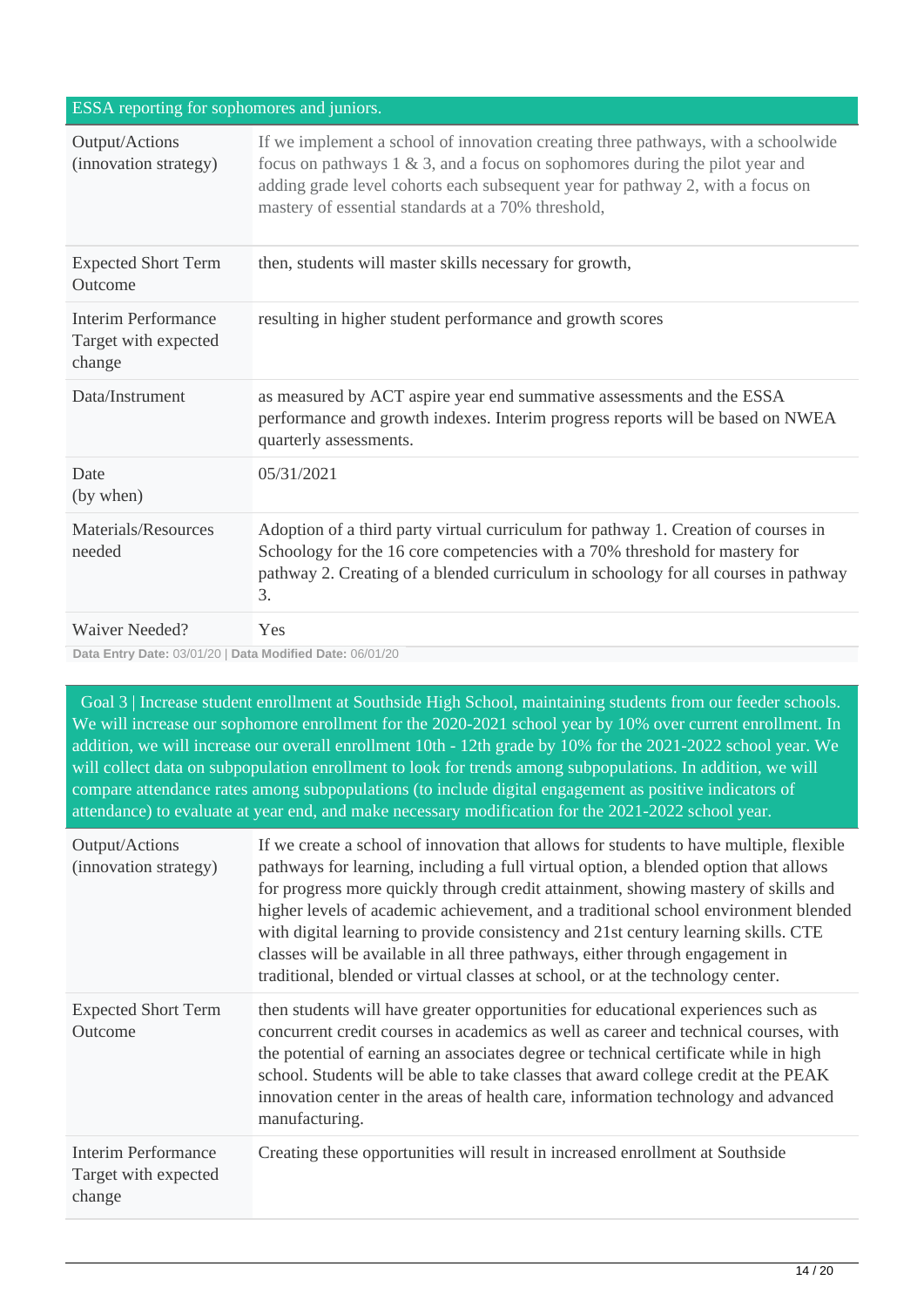#### ESSA reporting for sophomores and juniors.

| Output/Actions<br>(innovation strategy)                  | If we implement a school of innovation creating three pathways, with a schoolwide<br>focus on pathways $1 \& 3$ , and a focus on sophomores during the pilot year and<br>adding grade level cohorts each subsequent year for pathway 2, with a focus on<br>mastery of essential standards at a 70% threshold, |
|----------------------------------------------------------|---------------------------------------------------------------------------------------------------------------------------------------------------------------------------------------------------------------------------------------------------------------------------------------------------------------|
| <b>Expected Short Term</b><br>Outcome                    | then, students will master skills necessary for growth,                                                                                                                                                                                                                                                       |
| Interim Performance<br>Target with expected<br>change    | resulting in higher student performance and growth scores                                                                                                                                                                                                                                                     |
| Data/Instrument                                          | as measured by ACT aspire year end summative assessments and the ESSA<br>performance and growth indexes. Interim progress reports will be based on NWEA<br>quarterly assessments.                                                                                                                             |
| Date<br>(by when)                                        | 05/31/2021                                                                                                                                                                                                                                                                                                    |
| Materials/Resources<br>needed                            | Adoption of a third party virtual curriculum for pathway 1. Creation of courses in<br>Schoology for the 16 core competencies with a 70% threshold for mastery for<br>pathway 2. Creating of a blended curriculum in schoology for all courses in pathway<br>3.                                                |
| <b>Waiver Needed?</b>                                    | Yes                                                                                                                                                                                                                                                                                                           |
| Data Entry Date: 03/01/20   Data Modified Date: 06/01/20 |                                                                                                                                                                                                                                                                                                               |

 Goal 3 | Increase student enrollment at Southside High School, maintaining students from our feeder schools. We will increase our sophomore enrollment for the 2020-2021 school year by 10% over current enrollment. In addition, we will increase our overall enrollment 10th - 12th grade by 10% for the 2021-2022 school year. We will collect data on subpopulation enrollment to look for trends among subpopulations. In addition, we will compare attendance rates among subpopulations (to include digital engagement as positive indicators of attendance) to evaluate at year end, and make necessary modification for the 2021-2022 school year.

| Output/Actions<br>(innovation strategy)                      | If we create a school of innovation that allows for students to have multiple, flexible<br>pathways for learning, including a full virtual option, a blended option that allows<br>for progress more quickly through credit attainment, showing mastery of skills and<br>higher levels of academic achievement, and a traditional school environment blended<br>with digital learning to provide consistency and 21st century learning skills. CTE<br>classes will be available in all three pathways, either through engagement in<br>traditional, blended or virtual classes at school, or at the technology center. |
|--------------------------------------------------------------|------------------------------------------------------------------------------------------------------------------------------------------------------------------------------------------------------------------------------------------------------------------------------------------------------------------------------------------------------------------------------------------------------------------------------------------------------------------------------------------------------------------------------------------------------------------------------------------------------------------------|
| <b>Expected Short Term</b><br>Outcome                        | then students will have greater opportunities for educational experiences such as<br>concurrent credit courses in academics as well as career and technical courses, with<br>the potential of earning an associates degree or technical certificate while in high<br>school. Students will be able to take classes that award college credit at the PEAK<br>innovation center in the areas of health care, information technology and advanced<br>manufacturing.                                                                                                                                                       |
| <b>Interim Performance</b><br>Target with expected<br>change | Creating these opportunities will result in increased enrollment at Southside                                                                                                                                                                                                                                                                                                                                                                                                                                                                                                                                          |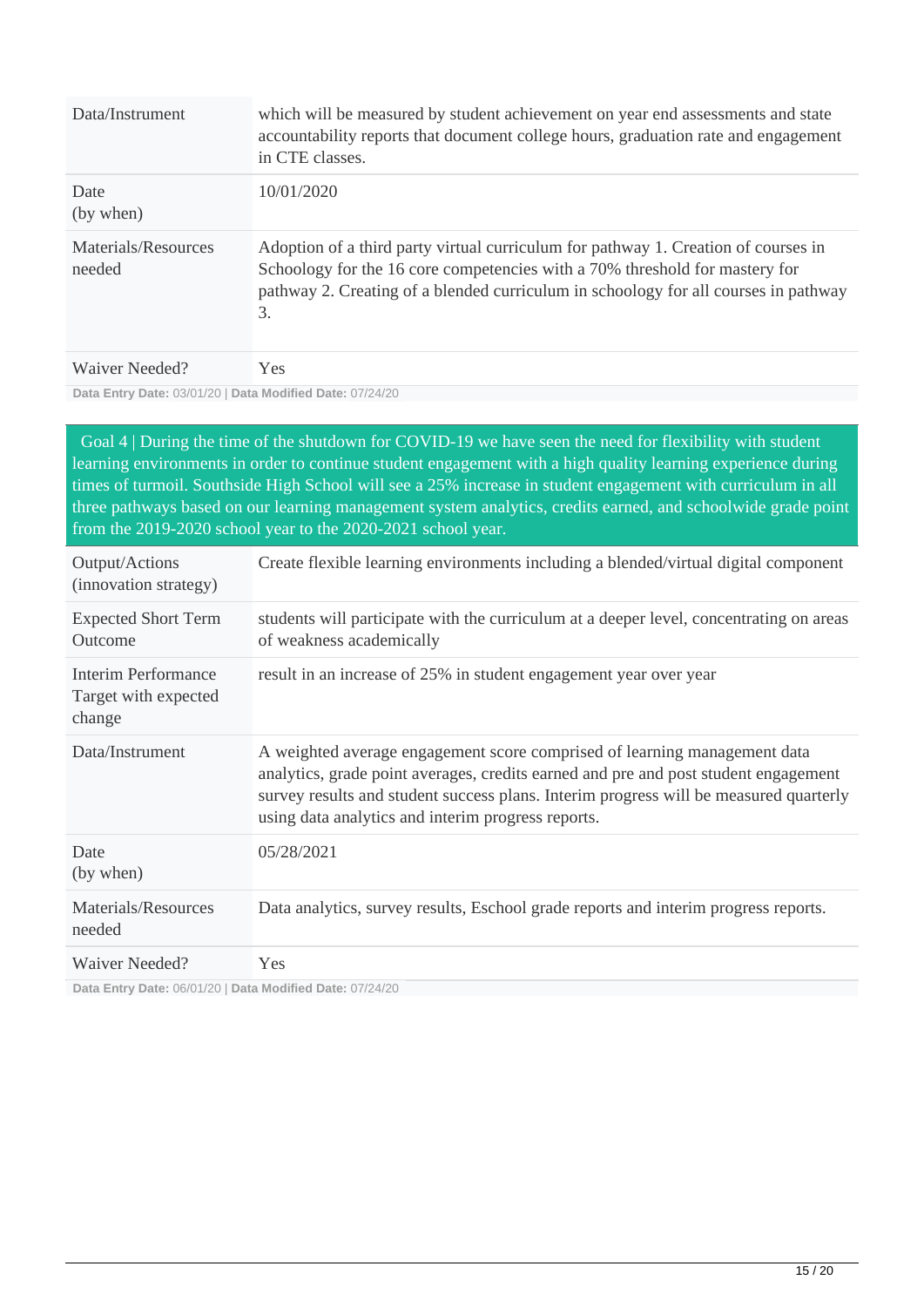| Data/Instrument               | which will be measured by student achievement on year end assessments and state<br>accountability reports that document college hours, graduation rate and engagement<br>in CTE classes.                                                                       |
|-------------------------------|----------------------------------------------------------------------------------------------------------------------------------------------------------------------------------------------------------------------------------------------------------------|
| Date<br>(by when)             | 10/01/2020                                                                                                                                                                                                                                                     |
| Materials/Resources<br>needed | Adoption of a third party virtual curriculum for pathway 1. Creation of courses in<br>Schoology for the 16 core competencies with a 70% threshold for mastery for<br>pathway 2. Creating of a blended curriculum in schoology for all courses in pathway<br>3. |
| Waiver Needed?                | Yes.                                                                                                                                                                                                                                                           |

**Data Entry Date:** 03/01/20 | **Data Modified Date:** 07/24/20

 Goal 4 | During the time of the shutdown for COVID-19 we have seen the need for flexibility with student learning environments in order to continue student engagement with a high quality learning experience during times of turmoil. Southside High School will see a 25% increase in student engagement with curriculum in all three pathways based on our learning management system analytics, credits earned, and schoolwide grade point from the 2019-2020 school year to the 2020-2021 school year.

| Output/Actions<br>(innovation strategy)                      | Create flexible learning environments including a blended/virtual digital component                                                                                                                                                                                                                             |
|--------------------------------------------------------------|-----------------------------------------------------------------------------------------------------------------------------------------------------------------------------------------------------------------------------------------------------------------------------------------------------------------|
| <b>Expected Short Term</b><br>Outcome                        | students will participate with the curriculum at a deeper level, concentrating on areas<br>of weakness academically                                                                                                                                                                                             |
| <b>Interim Performance</b><br>Target with expected<br>change | result in an increase of 25% in student engagement year over year                                                                                                                                                                                                                                               |
| Data/Instrument                                              | A weighted average engagement score comprised of learning management data<br>analytics, grade point averages, credits earned and pre and post student engagement<br>survey results and student success plans. Interim progress will be measured quarterly<br>using data analytics and interim progress reports. |
| Date<br>(by when)                                            | 05/28/2021                                                                                                                                                                                                                                                                                                      |
| Materials/Resources<br>needed                                | Data analytics, survey results, Eschool grade reports and interim progress reports.                                                                                                                                                                                                                             |
| Waiver Needed?                                               | <b>Yes</b>                                                                                                                                                                                                                                                                                                      |

**Data Entry Date:** 06/01/20 | **Data Modified Date:** 07/24/20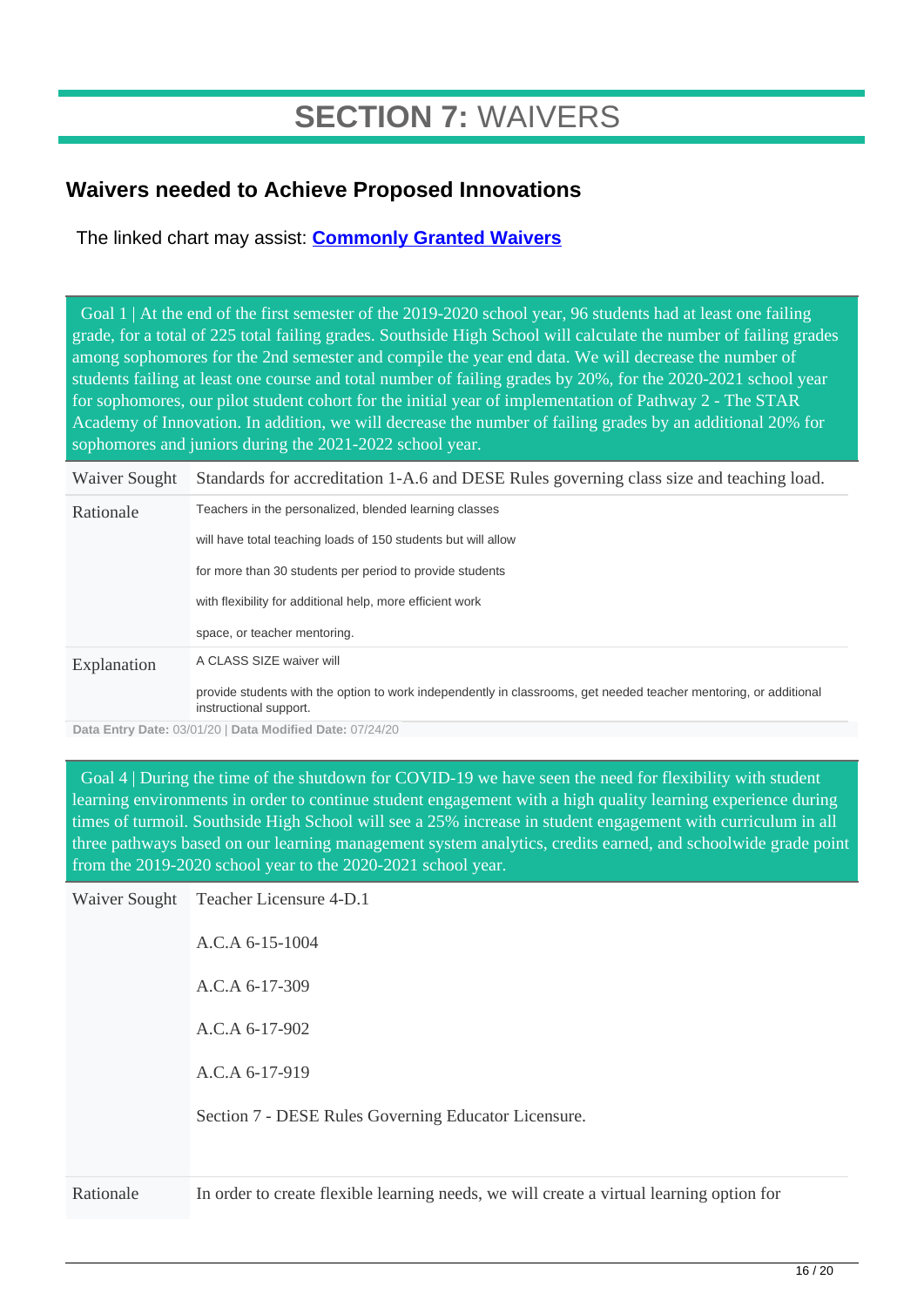## **SECTION 7:** WAIVERS

### **Waivers needed to Achieve Proposed Innovations**

The linked chart may assist: **[Commonly Granted Waivers](http://www.arkansased.gov/public/userfiles/Learning_Services/Charter%20and%20Home%20School/Charter%20School-Division%20of%20Learning%20Services/Applications/Waiver_Document.pdf)**

 Goal 1 | At the end of the first semester of the 2019-2020 school year, 96 students had at least one failing grade, for a total of 225 total failing grades. Southside High School will calculate the number of failing grades among sophomores for the 2nd semester and compile the year end data. We will decrease the number of students failing at least one course and total number of failing grades by 20%, for the 2020-2021 school year for sophomores, our pilot student cohort for the initial year of implementation of Pathway 2 - The STAR Academy of Innovation. In addition, we will decrease the number of failing grades by an additional 20% for sophomores and juniors during the 2021-2022 school year.

| Waiver Sought | Standards for accreditation 1-A.6 and DESE Rules governing class size and teaching load.                                                    |
|---------------|---------------------------------------------------------------------------------------------------------------------------------------------|
| Rationale     | Teachers in the personalized, blended learning classes                                                                                      |
|               | will have total teaching loads of 150 students but will allow                                                                               |
|               | for more than 30 students per period to provide students                                                                                    |
|               | with flexibility for additional help, more efficient work                                                                                   |
|               | space, or teacher mentoring.                                                                                                                |
| Explanation   | A CLASS SIZE waiver will                                                                                                                    |
|               | provide students with the option to work independently in classrooms, get needed teacher mentoring, or additional<br>instructional support. |

**Data Entry Date:** 03/01/20 | **Data Modified Date:** 07/24/20

 Goal 4 | During the time of the shutdown for COVID-19 we have seen the need for flexibility with student learning environments in order to continue student engagement with a high quality learning experience during times of turmoil. Southside High School will see a 25% increase in student engagement with curriculum in all three pathways based on our learning management system analytics, credits earned, and schoolwide grade point from the 2019-2020 school year to the 2020-2021 school year.

| Rationale | In order to create flexible learning needs, we will create a virtual learning option for |
|-----------|------------------------------------------------------------------------------------------|
|           | Section 7 - DESE Rules Governing Educator Licensure.                                     |
|           | A.C.A 6-17-919                                                                           |
|           | $A.C.A.6-17-902$                                                                         |
|           | $A.C.A.6-17-309$                                                                         |
|           | $A.C.A 6-15-1004$                                                                        |
|           | Waiver Sought Teacher Licensure 4-D.1                                                    |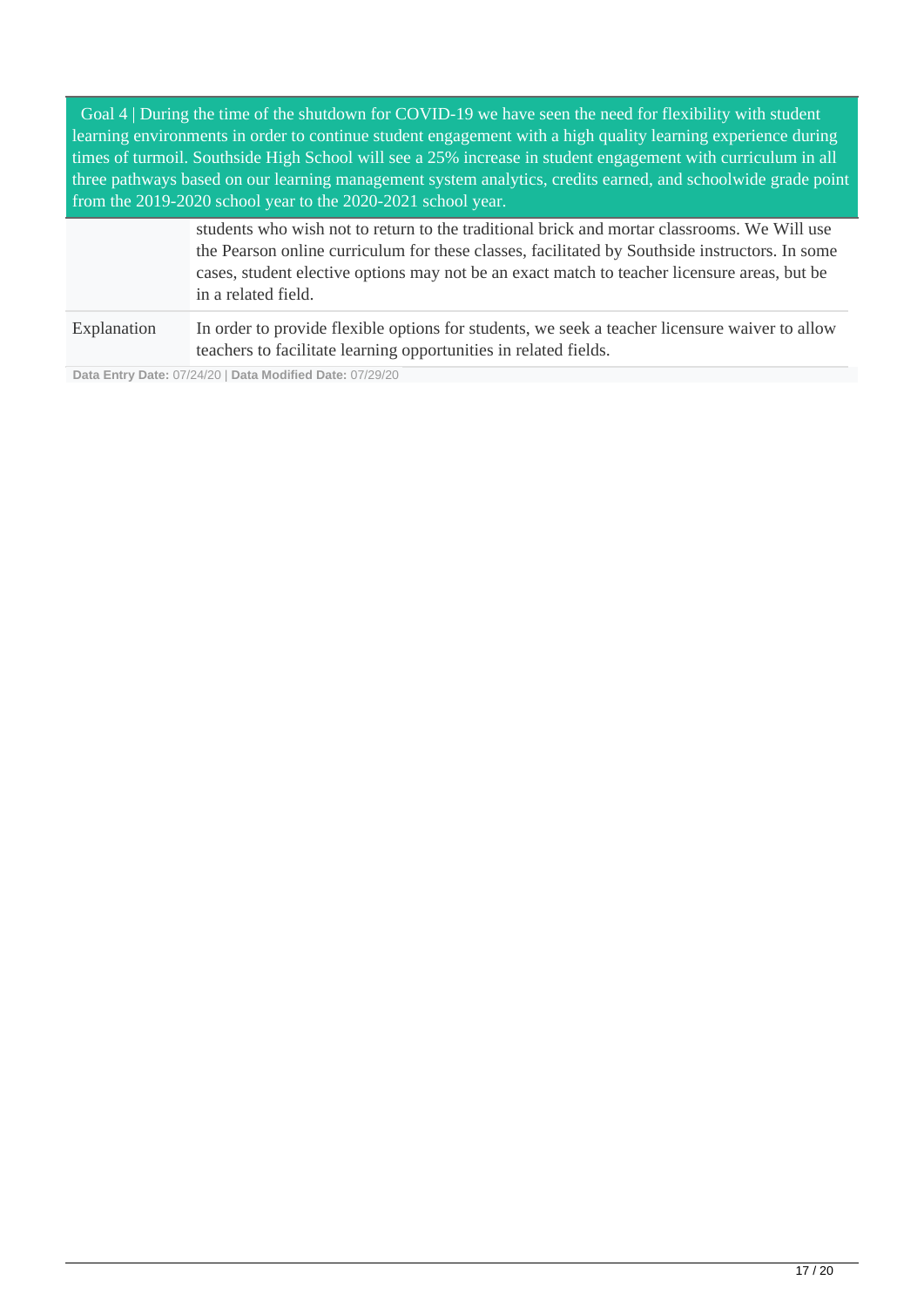Goal 4 | During the time of the shutdown for COVID-19 we have seen the need for flexibility with student learning environments in order to continue student engagement with a high quality learning experience during times of turmoil. Southside High School will see a 25% increase in student engagement with curriculum in all three pathways based on our learning management system analytics, credits earned, and schoolwide grade point from the 2019-2020 school year to the 2020-2021 school year.

|             | students who wish not to return to the traditional brick and mortar classrooms. We Will use<br>the Pearson online curriculum for these classes, facilitated by Southside instructors. In some<br>cases, student elective options may not be an exact match to teacher licensure areas, but be<br>in a related field. |
|-------------|----------------------------------------------------------------------------------------------------------------------------------------------------------------------------------------------------------------------------------------------------------------------------------------------------------------------|
|             |                                                                                                                                                                                                                                                                                                                      |
| Explanation | In order to provide flexible options for students, we seek a teacher licensure waiver to allow<br>teachers to facilitate learning opportunities in related fields.                                                                                                                                                   |

**Data Entry Date:** 07/24/20 | **Data Modified Date:** 07/29/20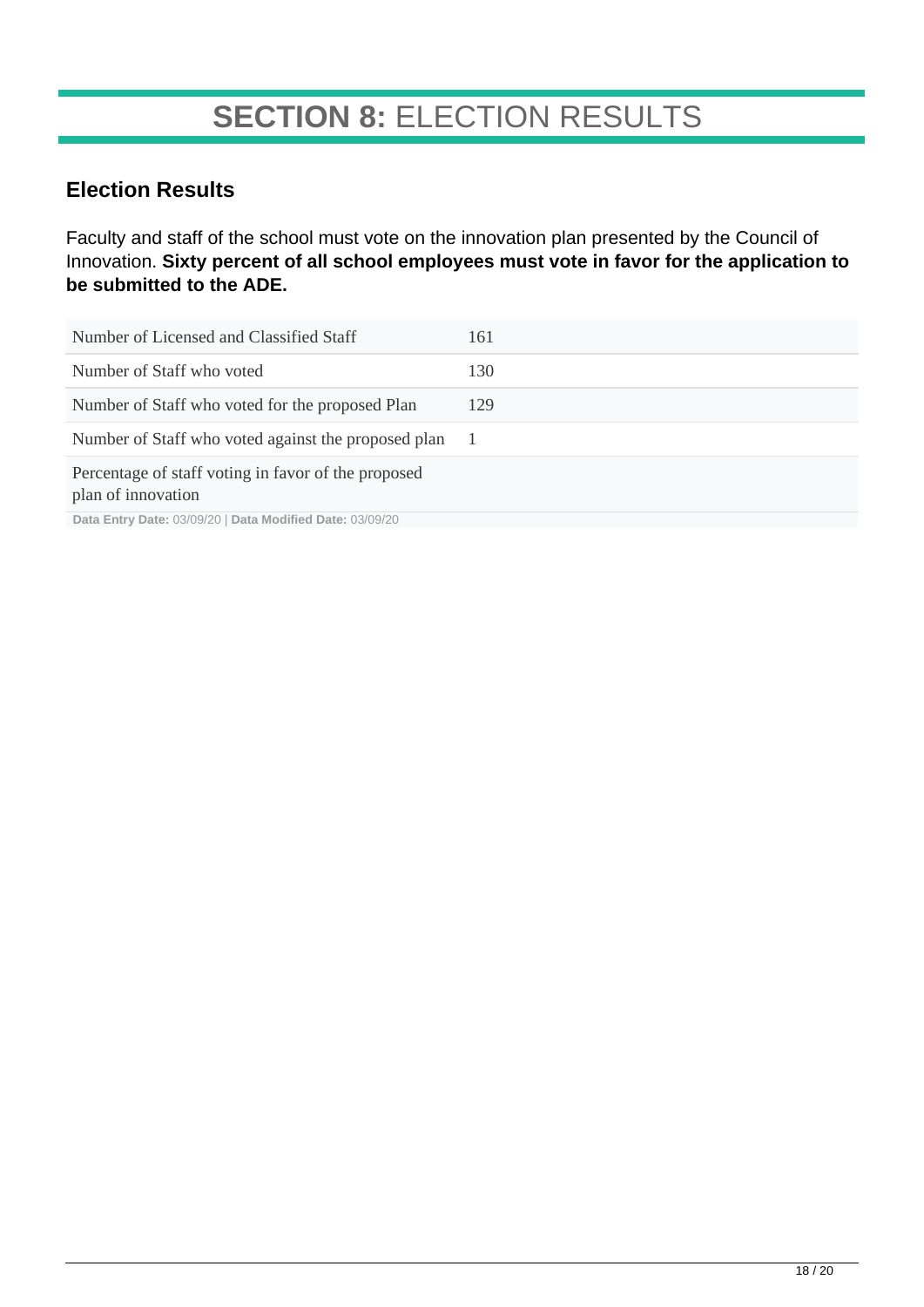## **SECTION 8:** ELECTION RESULTS

### **Election Results**

Faculty and staff of the school must vote on the innovation plan presented by the Council of Innovation. **Sixty percent of all school employees must vote in favor for the application to be submitted to the ADE.**

| Number of Licensed and Classified Staff                                   | 161 |
|---------------------------------------------------------------------------|-----|
| Number of Staff who voted                                                 | 130 |
| Number of Staff who voted for the proposed Plan                           | 129 |
| Number of Staff who voted against the proposed plan                       |     |
| Percentage of staff voting in favor of the proposed<br>plan of innovation |     |

**Data Entry Date:** 03/09/20 | **Data Modified Date:** 03/09/20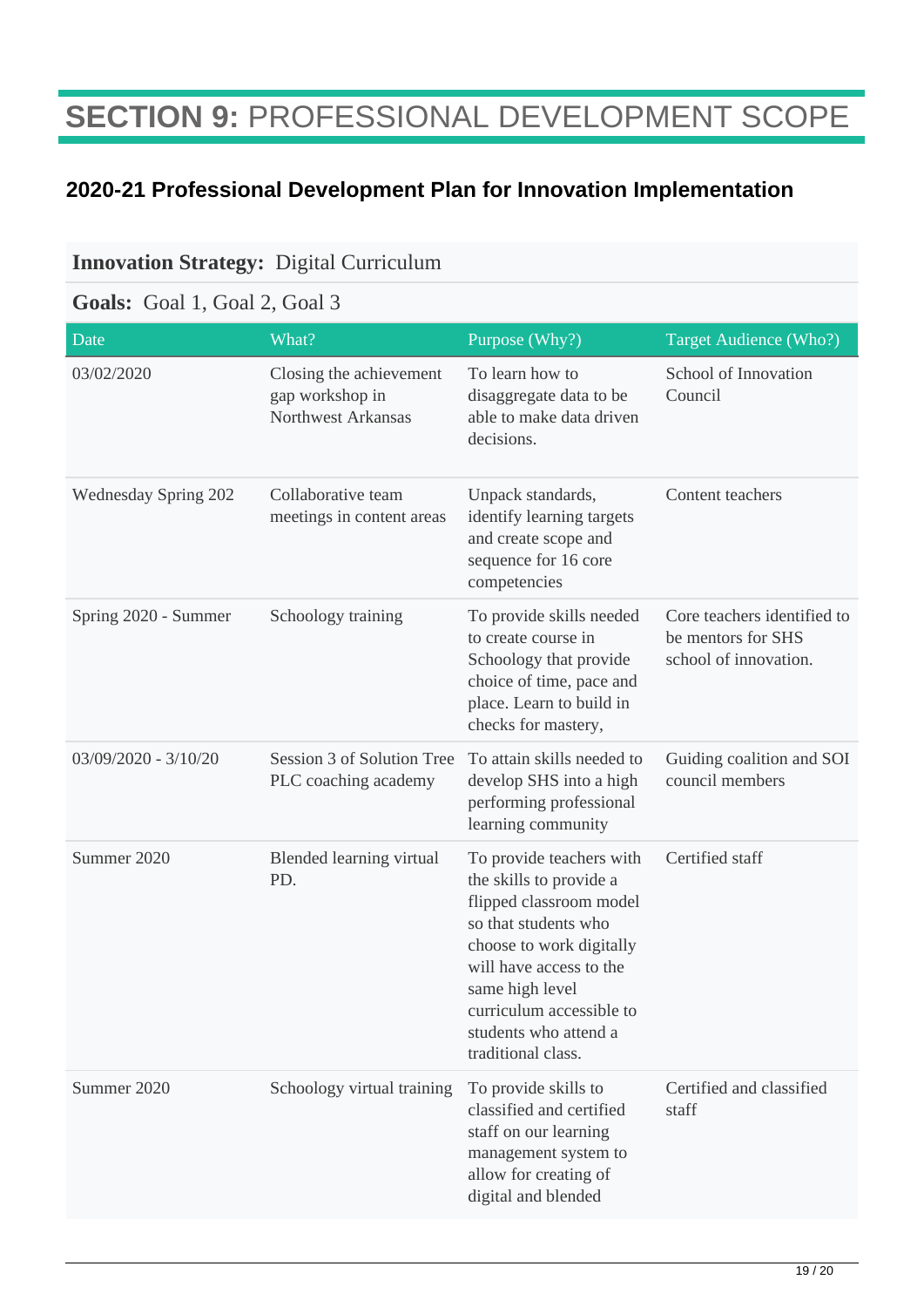## **SECTION 9:** PROFESSIONAL DEVELOPMENT SCOPE

### **2020-21 Professional Development Plan for Innovation Implementation**

#### **Innovation Strategy:** Digital Curriculum

### **Goals:** Goal 1, Goal 2, Goal 3

| Date                   | What?                                                            | Purpose (Why?)                                                                                                                                                                                                                                              | Target Audience (Who?)                                                     |
|------------------------|------------------------------------------------------------------|-------------------------------------------------------------------------------------------------------------------------------------------------------------------------------------------------------------------------------------------------------------|----------------------------------------------------------------------------|
| 03/02/2020             | Closing the achievement<br>gap workshop in<br>Northwest Arkansas | To learn how to<br>disaggregate data to be<br>able to make data driven<br>decisions.                                                                                                                                                                        | School of Innovation<br>Council                                            |
| Wednesday Spring 202   | Collaborative team<br>meetings in content areas                  | Unpack standards,<br>identify learning targets<br>and create scope and<br>sequence for 16 core<br>competencies                                                                                                                                              | Content teachers                                                           |
| Spring 2020 - Summer   | Schoology training                                               | To provide skills needed<br>to create course in<br>Schoology that provide<br>choice of time, pace and<br>place. Learn to build in<br>checks for mastery,                                                                                                    | Core teachers identified to<br>be mentors for SHS<br>school of innovation. |
| $03/09/2020 - 3/10/20$ | Session 3 of Solution Tree<br>PLC coaching academy               | To attain skills needed to<br>develop SHS into a high<br>performing professional<br>learning community                                                                                                                                                      | Guiding coalition and SOI<br>council members                               |
| Summer 2020            | Blended learning virtual<br>PD.                                  | To provide teachers with<br>the skills to provide a<br>flipped classroom model<br>so that students who<br>choose to work digitally<br>will have access to the<br>same high level<br>curriculum accessible to<br>students who attend a<br>traditional class. | Certified staff                                                            |
| Summer 2020            | Schoology virtual training                                       | To provide skills to<br>classified and certified<br>staff on our learning<br>management system to<br>allow for creating of<br>digital and blended                                                                                                           | Certified and classified<br>staff                                          |